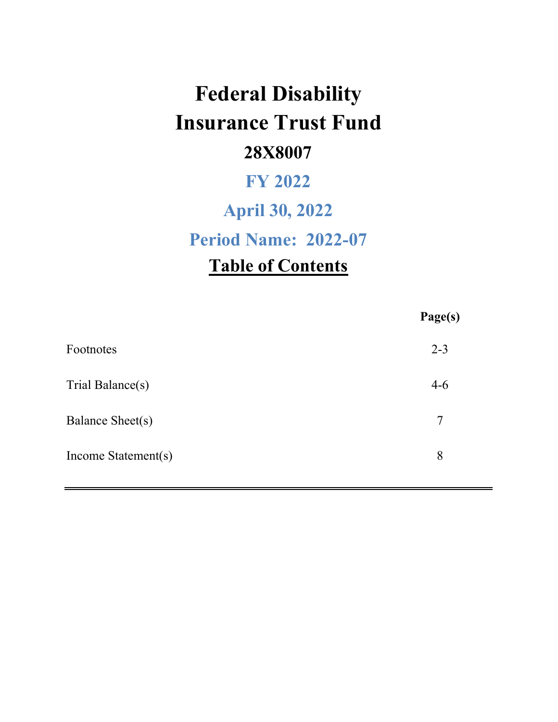# **Federal Disability Insurance Trust Fund 28X8007**

## **FY 2022**

## **April 30, 2022**

**Period Name: 2022-07**

## **Table of Contents**

|                     | Page(s) |
|---------------------|---------|
| Footnotes           | $2 - 3$ |
| Trial Balance(s)    | $4-6$   |
| Balance Sheet(s)    | 7       |
| Income Statement(s) | 8       |
|                     |         |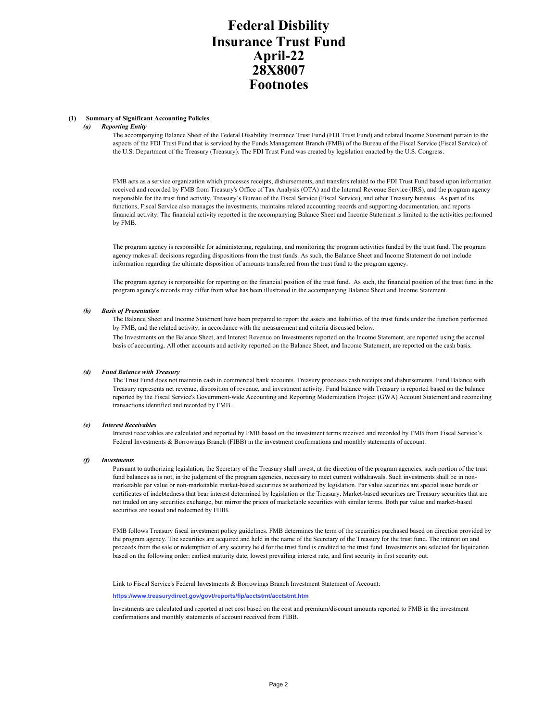## **Federal Disbility Insurance Trust Fund Footnotes April-22 28X8007**

#### **(1) Summary of Significant Accounting Policies**

#### *(a) Reporting Entity*

The accompanying Balance Sheet of the Federal Disability Insurance Trust Fund (FDI Trust Fund) and related Income Statement pertain to the aspects of the FDI Trust Fund that is serviced by the Funds Management Branch (FMB) of the Bureau of the Fiscal Service (Fiscal Service) of the U.S. Department of the Treasury (Treasury). The FDI Trust Fund was created by legislation enacted by the U.S. Congress.

FMB acts as a service organization which processes receipts, disbursements, and transfers related to the FDI Trust Fund based upon information received and recorded by FMB from Treasury's Office of Tax Analysis (OTA) and the Internal Revenue Service (IRS), and the program agency responsible for the trust fund activity, Treasury's Bureau of the Fiscal Service (Fiscal Service), and other Treasury bureaus. As part of its functions, Fiscal Service also manages the investments, maintains related accounting records and supporting documentation, and reports financial activity. The financial activity reported in the accompanying Balance Sheet and Income Statement is limited to the activities performed by FMB.

The program agency is responsible for administering, regulating, and monitoring the program activities funded by the trust fund. The program agency makes all decisions regarding dispositions from the trust funds. As such, the Balance Sheet and Income Statement do not include information regarding the ultimate disposition of amounts transferred from the trust fund to the program agency.

The program agency is responsible for reporting on the financial position of the trust fund. As such, the financial position of the trust fund in the program agency's records may differ from what has been illustrated in the accompanying Balance Sheet and Income Statement.

#### *(b) Basis of Presentation*

The Balance Sheet and Income Statement have been prepared to report the assets and liabilities of the trust funds under the function performed by FMB, and the related activity, in accordance with the measurement and criteria discussed below.

The Investments on the Balance Sheet, and Interest Revenue on Investments reported on the Income Statement, are reported using the accrual basis of accounting. All other accounts and activity reported on the Balance Sheet, and Income Statement, are reported on the cash basis.

#### *(d) Fund Balance with Treasury*

The Trust Fund does not maintain cash in commercial bank accounts. Treasury processes cash receipts and disbursements. Fund Balance with Treasury represents net revenue, disposition of revenue, and investment activity. Fund balance with Treasury is reported based on the balance reported by the Fiscal Service's Government-wide Accounting and Reporting Modernization Project (GWA) Account Statement and reconciling transactions identified and recorded by FMB.

#### *(e) Interest Receivables*

Interest receivables are calculated and reported by FMB based on the investment terms received and recorded by FMB from Fiscal Service's Federal Investments & Borrowings Branch (FIBB) in the investment confirmations and monthly statements of account.

#### *(f) Investments*

Pursuant to authorizing legislation, the Secretary of the Treasury shall invest, at the direction of the program agencies, such portion of the trust fund balances as is not, in the judgment of the program agencies, necessary to meet current withdrawals. Such investments shall be in nonmarketable par value or non-marketable market-based securities as authorized by legislation. Par value securities are special issue bonds or certificates of indebtedness that bear interest determined by legislation or the Treasury. Market-based securities are Treasury securities that are not traded on any securities exchange, but mirror the prices of marketable securities with similar terms. Both par value and market-based securities are issued and redeemed by FIBB.

FMB follows Treasury fiscal investment policy guidelines. FMB determines the term of the securities purchased based on direction provided by the program agency. The securities are acquired and held in the name of the Secretary of the Treasury for the trust fund. The interest on and proceeds from the sale or redemption of any security held for the trust fund is credited to the trust fund. Investments are selected for liquidation based on the following order: earliest maturity date, lowest prevailing interest rate, and first security in first security out.

Link to Fiscal Service's Federal Investments & Borrowings Branch Investment Statement of Account:

#### **https://www.treasurydirect.gov/govt/reports/fip/acctstmt/acctstmt.htm**

Investments are calculated and reported at net cost based on the cost and premium/discount amounts reported to FMB in the investment confirmations and monthly statements of account received from FIBB.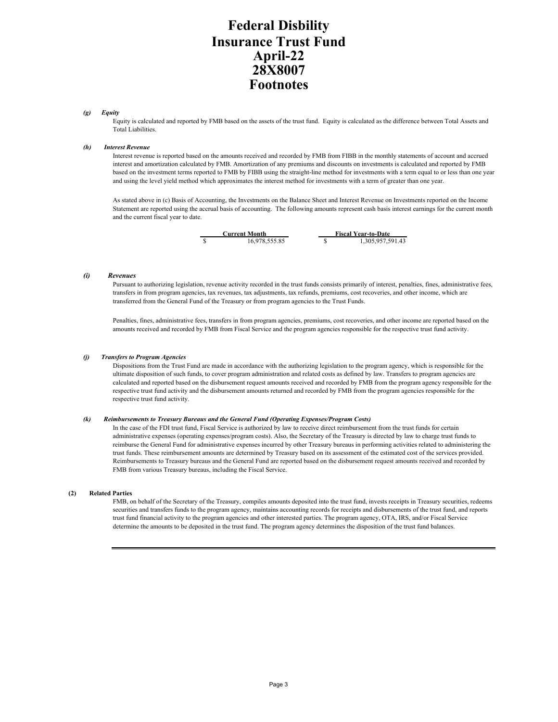## **Federal Disbility Insurance Trust Fund Footnotes April-22 28X8007**

#### *(g) Equity*

Equity is calculated and reported by FMB based on the assets of the trust fund. Equity is calculated as the difference between Total Assets and Total Liabilities.

#### *(h) Interest Revenue*

Interest revenue is reported based on the amounts received and recorded by FMB from FIBB in the monthly statements of account and accrued interest and amortization calculated by FMB. Amortization of any premiums and discounts on investments is calculated and reported by FMB based on the investment terms reported to FMB by FIBB using the straight-line method for investments with a term equal to or less than one year and using the level yield method which approximates the interest method for investments with a term of greater than one year.

As stated above in (c) Basis of Accounting, the Investments on the Balance Sheet and Interest Revenue on Investments reported on the Income Statement are reported using the accrual basis of accounting. The following amounts represent cash basis interest earnings for the current month and the current fiscal year to date.



#### *(i) Revenues*

Pursuant to authorizing legislation, revenue activity recorded in the trust funds consists primarily of interest, penalties, fines, administrative fees, transfers in from program agencies, tax revenues, tax adjustments, tax refunds, premiums, cost recoveries, and other income, which are transferred from the General Fund of the Treasury or from program agencies to the Trust Funds.

Penalties, fines, administrative fees, transfers in from program agencies, premiums, cost recoveries, and other income are reported based on the amounts received and recorded by FMB from Fiscal Service and the program agencies responsible for the respective trust fund activity.

#### *(j) Transfers to Program Agencies*

Dispositions from the Trust Fund are made in accordance with the authorizing legislation to the program agency, which is responsible for the ultimate disposition of such funds, to cover program administration and related costs as defined by law. Transfers to program agencies are calculated and reported based on the disbursement request amounts received and recorded by FMB from the program agency responsible for the respective trust fund activity and the disbursement amounts returned and recorded by FMB from the program agencies responsible for the respective trust fund activity.

#### *(k) Reimbursements to Treasury Bureaus and the General Fund (Operating Expenses/Program Costs)*

In the case of the FDI trust fund, Fiscal Service is authorized by law to receive direct reimbursement from the trust funds for certain administrative expenses (operating expenses/program costs). Also, the Secretary of the Treasury is directed by law to charge trust funds to reimburse the General Fund for administrative expenses incurred by other Treasury bureaus in performing activities related to administering the trust funds. These reimbursement amounts are determined by Treasury based on its assessment of the estimated cost of the services provided. Reimbursements to Treasury bureaus and the General Fund are reported based on the disbursement request amounts received and recorded by FMB from various Treasury bureaus, including the Fiscal Service.

#### **(2) Related Parties**

FMB, on behalf of the Secretary of the Treasury, compiles amounts deposited into the trust fund, invests receipts in Treasury securities, redeems securities and transfers funds to the program agency, maintains accounting records for receipts and disbursements of the trust fund, and reports trust fund financial activity to the program agencies and other interested parties. The program agency, OTA, IRS, and/or Fiscal Service determine the amounts to be deposited in the trust fund. The program agency determines the disposition of the trust fund balances.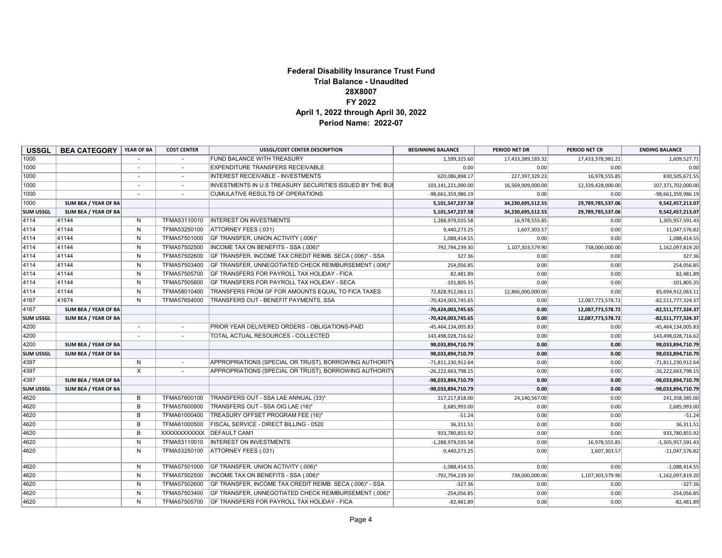#### **Federal Disability Insurance Trust Fund Trial Balance - Unaudited 28X8007 FY 2022 April 1, 2022 through April 30, 2022 Period Name: 2022-07**

| <b>USSGL</b>     | <b>BEA CATEGORY</b>  | YEAR OF BA              | <b>COST CENTER</b> | <b>USSGL/COST CENTER DESCRIPTION</b>                     | <b>BEGINNING BALANCE</b> | PERIOD NET DR     | PERIOD NET CR     | <b>ENDING BALANCE</b> |
|------------------|----------------------|-------------------------|--------------------|----------------------------------------------------------|--------------------------|-------------------|-------------------|-----------------------|
| 1000             |                      |                         |                    | <b>FUND BALANCE WITH TREASURY</b>                        | 1,599,325.60             | 17,433,389,183.32 | 17,433,378,981.21 | 1,609,527.71          |
| 1000             |                      |                         |                    | <b>EXPENDITURE TRANSFERS RECEIVABLE</b>                  | 0.00                     | 0.00              | 0.00              | 0.00                  |
| 1000             |                      | $\sim$                  | $\sim$             | INTEREST RECEIVABLE - INVESTMENTS                        | 620,086,898.17           | 227,397,329.23    | 16,978,555.85     | 830,505,671.55        |
| 1000             |                      |                         |                    | INVESTMENTS IN U.S TREASURY SECURITIES ISSUED BY THE BUI | 103,141,221,000.00       | 16,569,909,000.00 | 12,339,428,000.00 | 107,371,702,000.00    |
| 1000             |                      |                         |                    | <b>CUMULATIVE RESULTS OF OPERATIONS</b>                  | -98,661,359,986.19       | 0.00              | 0.00              | $-98,661,359,986.19$  |
| 1000             | SUM BEA / YEAR OF BA |                         |                    |                                                          | 5,101,547,237.58         | 34,230,695,512.55 | 29,789,785,537.06 | 9,542,457,213.07      |
| <b>SUM USSGL</b> | SUM BEA / YEAR OF BA |                         |                    |                                                          | 5,101,547,237.58         | 34,230,695,512.55 | 29,789,785,537.06 | 9,542,457,213.07      |
| 4114             | 41144                | N                       | TFMA53110010       | <b>INTEREST ON INVESTMENTS</b>                           | 1,288,979,035.58         | 16,978,555.85     | 0.00              | 1,305,957,591.43      |
| 4114             | 41144                | N                       | TFMA53250100       | ATTORNEY FEES (.031)                                     | 9,440,273.25             | 1,607,303.57      | 0.00              | 11,047,576.82         |
| 4114             | 41144                | N                       | TFMA57501000       | GF TRANSFER, UNION ACTIVITY (.006)*                      | 1,088,414.55             | 0.00              | 0.00              | 1,088,414.55          |
| 4114             | 41144                | N                       | TFMA57502500       | INCOME TAX ON BENEFITS - SSA (.006)*                     | 792,794,239.30           | 1,107,303,579.90  | 738,000,000.00    | 1,162,097,819.20      |
| 4114             | 41144                | N                       | TFMA57502600       | GF TRANSFER, INCOME TAX CREDIT REIMB. SECA (.006)* - SSA | 327.36                   | 0.00              | 0.00              | 327.36                |
| 4114             | 41144                | N                       | TFMA57503400       | GF TRANSFER, UNNEGOTIATED CHECK REIMBURSEMENT (.006)*    | 254,056.85               | 0.00              | 0.00              | 254,056.85            |
| 4114             | 41144                | N                       | TFMA57505700       | GF TRANSFERS FOR PAYROLL TAX HOLIDAY - FICA              | 82,481.89                | 0.00              | 0.00              | 82,481.89             |
| 4114             | 41144                | N                       | TFMA57505800       | GF TRANSFERS FOR PAYROLL TAX HOLIDAY - SECA              | $-101,805.35$            | 0.00              | 0.00              | $-101,805.35$         |
| 4114             | 41144                | N                       | TFMA58010400       | TRANSFERS FROM GF FOR AMOUNTS EQUAL TO FICA TAXES        | 72,828,912,063.11        | 12,866,000,000.00 | 0.00              | 85,694,912,063.11     |
| 4167             | 41674                | N                       | TFMA57654000       | TRANSFERS OUT - BENEFIT PAYMENTS, SSA                    | -70,424,003,745.65       | 0.00              | 12,087,773,578.72 | $-82,511,777,324.37$  |
| 4167             | SUM BEA / YEAR OF BA |                         |                    |                                                          | -70,424,003,745.65       | 0.00              | 12,087,773,578.72 | $-82,511,777,324.37$  |
| <b>SUM USSGL</b> | SUM BEA / YEAR OF BA |                         |                    |                                                          | -70,424,003,745.65       | 0.00              | 12,087,773,578.72 | $-82,511,777,324.37$  |
| 4200             |                      | $\sim$                  |                    | PRIOR YEAR DELIVERED ORDERS - OBLIGATIONS-PAID           | -45,464,134,005.83       | 0.00              | 0.00              | $-45,464,134,005.83$  |
| 4200             |                      |                         |                    | TOTAL ACTUAL RESOURCES - COLLECTED                       | 143,498,028,716.62       | 0.00              | 0.00              | 143,498,028,716.62    |
| 4200             | SUM BEA / YEAR OF BA |                         |                    |                                                          | 98,033,894,710.79        | 0.00              | 0.00              | 98,033,894,710.79     |
| <b>SUM USSGL</b> | SUM BEA / YEAR OF BA |                         |                    |                                                          | 98,033,894,710.79        | 0.00              | 0.00              | 98,033,894,710.79     |
| 4397             |                      | N                       |                    | APPROPRIATIONS (SPECIAL OR TRUST), BORROWING AUTHORITY   | -71,811,230,912.64       | 0.00              | 0.00              | $-71,811,230,912.64$  |
| 4397             |                      | $\overline{\mathsf{x}}$ |                    | APPROPRIATIONS (SPECIAL OR TRUST), BORROWING AUTHORITY   | $-26,222,663,798.15$     | 0.00              | 0.00              | $-26,222,663,798.15$  |
| 4397             | SUM BEA / YEAR OF BA |                         |                    |                                                          | -98,033,894,710.79       | 0.00              | 0.00              | -98,033,894,710.79    |
| <b>SUM USSGL</b> | SUM BEA / YEAR OF BA |                         |                    |                                                          | -98,033,894,710.79       | 0.00              | 0.00              | -98,033,894,710.79    |
| 4620             |                      | B                       | TFMA57600100       | TRANSFERS OUT - SSA LAE ANNUAL (33)*                     | 217,217,818.00           | 24,140,567.00     | 0.00              | 241,358,385.00        |
| 4620             |                      | B                       | TFMA57600900       | TRANSFERS OUT - SSA OIG LAE (16)*                        | 2,685,993.00             | 0.00              | 0.00              | 2,685,993.00          |
| 4620             |                      | B                       | TFMA61000400       | TREASURY OFFSET PROGRAM FEE (16)*                        | $-51.24$                 | 0.00              | 0.00              | $-51.24$              |
| 4620             |                      | B                       | TFMA61000500       | FISCAL SERVICE - DIRECT BILLING - 0520                   | 36,311.51                | 0.00              | 0.00              | 36,311.51             |
| 4620             |                      | B                       | XXXXXXXXXXX        | <b>DEFAULT CAM1</b>                                      | 933,780,855.92           | 0.00              | 0.00              | 933,780,855.92        |
| 4620             |                      | N                       | TFMA53110010       | <b>INTEREST ON INVESTMENTS</b>                           | $-1,288,979,035.58$      | 0.00              | 16,978,555.85     | $-1,305,957,591.43$   |
| 4620             |                      | N                       | TFMA53250100       | ATTORNEY FEES (.031)                                     | $-9,440,273.25$          | 0.00              | 1,607,303.57      | $-11,047,576.82$      |
| 4620             |                      | N                       | TFMA57501000       | GF TRANSFER, UNION ACTIVITY (.006)*                      | $-1,088,414.55$          | 0.00              | 0.00              | $-1,088,414.55$       |
| 4620             |                      | N                       | TFMA57502500       | INCOME TAX ON BENEFITS - SSA (.006)*                     | -792,794,239.30          | 738,000,000.00    | 1,107,303,579.90  | $-1,162,097,819.20$   |
| 4620             |                      | N                       | TFMA57502600       | GF TRANSFER, INCOME TAX CREDIT REIMB. SECA (.006)* - SSA | $-327.36$                | 0.00              | 0.00              | $-327.36$             |
| 4620             |                      | N                       | TFMA57503400       | GF TRANSFER, UNNEGOTIATED CHECK REIMBURSEMENT (.006)*    | $-254,056.85$            | 0.00              | 0.00              | $-254,056.85$         |
| 4620             |                      | N                       | TFMA57505700       | GF TRANSFERS FOR PAYROLL TAX HOLIDAY - FICA              | $-82,481.89$             | 0.00              | 0.00              | $-82,481.89$          |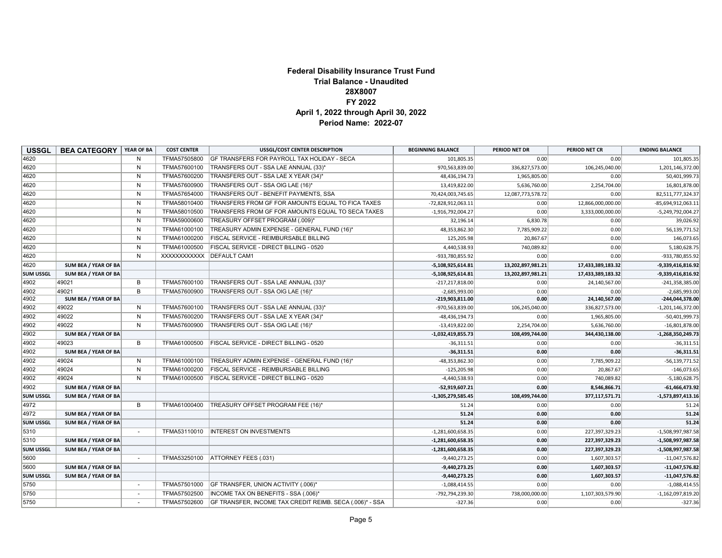#### **Federal Disability Insurance Trust Fund Trial Balance - Unaudited 28X8007 FY 2022 April 1, 2022 through April 30, 2022 Period Name: 2022-07**

| <b>USSGL</b>     | <b>BEA CATEGORY</b>  | YEAR OF BA   | <b>COST CENTER</b> | <b>USSGL/COST CENTER DESCRIPTION</b>                     | <b>BEGINNING BALANCE</b> | PERIOD NET DR     | PERIOD NET CR     | <b>ENDING BALANCE</b> |
|------------------|----------------------|--------------|--------------------|----------------------------------------------------------|--------------------------|-------------------|-------------------|-----------------------|
| 4620             |                      | N            | TFMA57505800       | GF TRANSFERS FOR PAYROLL TAX HOLIDAY - SECA              | 101,805.35               | 0.00              | 0.00              | 101,805.35            |
| 4620             |                      | $\mathsf{N}$ | TFMA57600100       | TRANSFERS OUT - SSA LAE ANNUAL (33)*                     | 970,563,839.00           | 336,827,573.00    | 106,245,040.00    | 1,201,146,372.00      |
| 4620             |                      | N            | TFMA57600200       | TRANSFERS OUT - SSA LAE X YEAR (34)*                     | 48,436,194.73            | 1,965,805.00      | 0.00              | 50,401,999.73         |
| 4620             |                      | N            | TFMA57600900       | TRANSFERS OUT - SSA OIG LAE (16)*                        | 13,419,822.00            | 5,636,760.00      | 2,254,704.00      | 16,801,878.00         |
| 4620             |                      | N            | TFMA57654000       | TRANSFERS OUT - BENEFIT PAYMENTS, SSA                    | 70,424,003,745.65        | 12,087,773,578.72 | 0.00              | 82,511,777,324.37     |
| 4620             |                      | N            | TFMA58010400       | TRANSFERS FROM GF FOR AMOUNTS EQUAL TO FICA TAXES        | -72,828,912,063.11       | 0.00              | 12,866,000,000.00 | $-85,694,912,063.11$  |
| 4620             |                      | N            | TFMA58010500       | TRANSFERS FROM GF FOR AMOUNTS EQUAL TO SECA TAXES        | $-1,916,792,004.27$      | 0.00              | 3,333,000,000.00  | $-5,249,792,004.27$   |
| 4620             |                      | N            | TFMA59000600       | TREASURY OFFSET PROGRAM (.009)*                          | 32,196.14                | 6,830.78          | 0.00              | 39,026.92             |
| 4620             |                      | N            | TFMA61000100       | TREASURY ADMIN EXPENSE - GENERAL FUND (16)*              | 48,353,862.30            | 7,785,909.22      | 0.00              | 56,139,771.52         |
| 4620             |                      | N            | TFMA61000200       | FISCAL SERVICE - REIMBURSABLE BILLING                    | 125,205.98               | 20,867.67         | 0.00              | 146,073.65            |
| 4620             |                      | N            | TFMA61000500       | FISCAL SERVICE - DIRECT BILLING - 0520                   | 4,440,538.93             | 740,089.82        | 0.00              | 5,180,628.75          |
| 4620             |                      | $\mathsf{N}$ | XXXXXXXXXXXX       | <b>DEFAULT CAM1</b>                                      | $-933,780,855.92$        | 0.00              | 0.00              | $-933,780,855.92$     |
| 4620             | SUM BEA / YEAR OF BA |              |                    |                                                          | $-5,108,925,614.81$      | 13,202,897,981.21 | 17,433,389,183.32 | $-9,339,416,816.92$   |
| <b>SUM USSGL</b> | SUM BEA / YEAR OF BA |              |                    |                                                          | $-5,108,925,614.81$      | 13,202,897,981.21 | 17,433,389,183.32 | $-9,339,416,816.92$   |
| 4902             | 49021                | B            | TFMA57600100       | TRANSFERS OUT - SSA LAE ANNUAL (33)*                     | $-217,217,818.00$        | 0.00              | 24,140,567.00     | $-241,358,385.00$     |
| 4902             | 49021                | B            | TFMA57600900       | TRANSFERS OUT - SSA OIG LAE (16)*                        | $-2,685,993.00$          | 0.00              | 0.00              | $-2,685,993.00$       |
| 4902             | SUM BEA / YEAR OF BA |              |                    |                                                          | $-219,903,811.00$        | 0.00              | 24,140,567.00     | $-244,044,378.00$     |
| 4902             | 49022                | N            | TFMA57600100       | TRANSFERS OUT - SSA LAE ANNUAL (33)*                     | $-970,563,839.00$        | 106,245,040.00    | 336,827,573.00    | $-1,201,146,372.00$   |
| 4902             | 49022                | N            | TFMA57600200       | TRANSFERS OUT - SSA LAE X YEAR (34)*                     | $-48,436,194.73$         | 0.00              | 1,965,805.00      | $-50,401,999.73$      |
| 4902             | 49022                | N            | TFMA57600900       | TRANSFERS OUT - SSA OIG LAE (16)*                        | $-13,419,822.00$         | 2,254,704.00      | 5,636,760.00      | $-16,801,878.00$      |
| 4902             | SUM BEA / YEAR OF BA |              |                    |                                                          | $-1,032,419,855.73$      | 108,499,744.00    | 344,430,138.00    | $-1,268,350,249.73$   |
| 4902             | 49023                | B            | TFMA61000500       | FISCAL SERVICE - DIRECT BILLING - 0520                   | $-36,311.51$             | 0.00              | 0.00              | $-36,311.51$          |
| 4902             | SUM BEA / YEAR OF BA |              |                    |                                                          | $-36,311.51$             | 0.00              | 0.00              | $-36,311.51$          |
| 4902             | 49024                | N            | TFMA61000100       | TREASURY ADMIN EXPENSE - GENERAL FUND (16)*              | $-48,353,862.30$         | 0.00              | 7,785,909.22      | $-56, 139, 771.52$    |
| 4902             | 49024                | N            | TFMA61000200       | <b>FISCAL SERVICE - REIMBURSABLE BILLING</b>             | $-125,205.98$            | 0.00              | 20,867.67         | $-146,073.65$         |
| 4902             | 49024                | N            | TFMA61000500       | FISCAL SERVICE - DIRECT BILLING - 0520                   | $-4,440,538.93$          | 0.00              | 740,089.82        | $-5,180,628.75$       |
| 4902             | SUM BEA / YEAR OF BA |              |                    |                                                          | $-52,919,607.21$         | 0.00              | 8,546,866.71      | $-61,466,473.92$      |
| <b>SUM USSGL</b> | SUM BEA / YEAR OF BA |              |                    |                                                          | $-1,305,279,585.45$      | 108,499,744.00    | 377,117,571.71    | $-1,573,897,413.16$   |
| 4972             |                      | B            | TFMA61000400       | TREASURY OFFSET PROGRAM FEE (16)*                        | 51.24                    | 0.00              | 0.00              | 51.24                 |
| 4972             | SUM BEA / YEAR OF BA |              |                    |                                                          | 51.24                    | 0.00              | 0.00              | 51.24                 |
| <b>SUM USSGL</b> | SUM BEA / YEAR OF BA |              |                    |                                                          | 51.24                    | 0.00              | 0.00              | 51.24                 |
| 5310             |                      |              | TFMA53110010       | <b>INTEREST ON INVESTMENTS</b>                           | $-1,281,600,658.35$      | 0.00              | 227,397,329.23    | $-1,508,997,987.58$   |
| 5310             | SUM BEA / YEAR OF BA |              |                    |                                                          | $-1,281,600,658.35$      | 0.00              | 227,397,329.23    | $-1,508,997,987.58$   |
| <b>SUM USSGL</b> | SUM BEA / YEAR OF BA |              |                    |                                                          | $-1,281,600,658.35$      | 0.00              | 227,397,329.23    | $-1,508,997,987.58$   |
| 5600             |                      | $\sim$       | TFMA53250100       | ATTORNEY FEES (.031)                                     | $-9,440,273.25$          | 0.00              | 1,607,303.57      | $-11,047,576.82$      |
| 5600             | SUM BEA / YEAR OF BA |              |                    |                                                          | $-9,440,273.25$          | 0.00              | 1,607,303.57      | $-11,047,576.82$      |
| <b>SUM USSGL</b> | SUM BEA / YEAR OF BA |              |                    |                                                          | $-9,440,273.25$          | 0.00              | 1,607,303.57      | $-11,047,576.82$      |
| 5750             |                      | $\sim$       | TFMA57501000       | GF TRANSFER, UNION ACTIVITY (.006)*                      | $-1,088,414.55$          | 0.00              | 0.00              | $-1,088,414.55$       |
| 5750             |                      |              | TFMA57502500       | INCOME TAX ON BENEFITS - SSA (.006)*                     | $-792,794,239.30$        | 738,000,000.00    | 1,107,303,579.90  | $-1,162,097,819.20$   |
| 5750             |                      |              | TFMA57502600       | GF TRANSFER, INCOME TAX CREDIT REIMB. SECA (.006)* - SSA | $-327.36$                | 0.00              | 0.00              | $-327.36$             |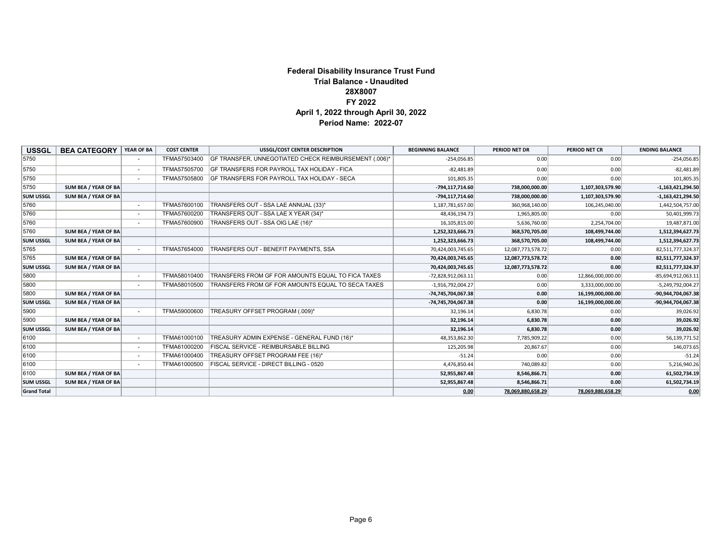#### **Federal Disability Insurance Trust Fund Trial Balance - Unaudited 28X8007 FY 2022 April 1, 2022 through April 30, 2022 Period Name: 2022-07**

| <b>USSGL</b>       | <b>BEA CATEGORY</b>         | YEAR OF BA               | <b>COST CENTER</b> | <b>USSGL/COST CENTER DESCRIPTION</b>                  | <b>BEGINNING BALANCE</b> | PERIOD NET DR     | PERIOD NET CR     | <b>ENDING BALANCE</b> |
|--------------------|-----------------------------|--------------------------|--------------------|-------------------------------------------------------|--------------------------|-------------------|-------------------|-----------------------|
| 5750               |                             |                          | TFMA57503400       | GF TRANSFER, UNNEGOTIATED CHECK REIMBURSEMENT (.006)* | $-254,056.85$            | 0.00              | 0.00              | $-254,056.85$         |
| 5750               |                             | $\sim$                   | TFMA57505700       | <b>GF TRANSFERS FOR PAYROLL TAX HOLIDAY - FICA</b>    | $-82,481.89$             | 0.00              | 0.00              | $-82,481.89$          |
| 5750               |                             |                          | TFMA57505800       | <b>GF TRANSFERS FOR PAYROLL TAX HOLIDAY - SECA</b>    | 101,805.35               | 0.00              | 0.00              | 101,805.35            |
| 5750               | SUM BEA / YEAR OF BA        |                          |                    |                                                       | $-794, 117, 714.60$      | 738,000,000.00    | 1,107,303,579.90  | $-1,163,421,294.50$   |
| <b>SUM USSGL</b>   | SUM BEA / YEAR OF BA        |                          |                    |                                                       | $-794, 117, 714.60$      | 738,000,000.00    | 1,107,303,579.90  | $-1,163,421,294.50$   |
| 5760               |                             | $\sim$                   | TFMA57600100       | TRANSFERS OUT - SSA LAE ANNUAL (33)*                  | 1,187,781,657.00         | 360,968,140.00    | 106,245,040.00    | 1,442,504,757.00      |
| 5760               |                             | $\sim$                   | TFMA57600200       | TRANSFERS OUT - SSA LAE X YEAR (34)*                  | 48,436,194.73            | 1,965,805.00      | 0.00              | 50,401,999.73         |
| 5760               |                             |                          | TFMA57600900       | TRANSFERS OUT - SSA OIG LAE (16)*                     | 16,105,815.00            | 5,636,760.00      | 2,254,704.00      | 19,487,871.00         |
| 5760               | SUM BEA / YEAR OF BA        |                          |                    |                                                       | 1,252,323,666.73         | 368,570,705.00    | 108,499,744.00    | 1,512,394,627.73      |
| <b>SUM USSGL</b>   | SUM BEA / YEAR OF BA        |                          |                    |                                                       | 1,252,323,666.73         | 368,570,705.00    | 108,499,744.00    | 1,512,394,627.73      |
| 5765               |                             |                          | TFMA57654000       | TRANSFERS OUT - BENEFIT PAYMENTS, SSA                 | 70,424,003,745.65        | 12,087,773,578.72 | 0.00              | 82,511,777,324.37     |
| 5765               | SUM BEA / YEAR OF BA        |                          |                    |                                                       | 70,424,003,745.65        | 12,087,773,578.72 | 0.00              | 82,511,777,324.37     |
| <b>SUM USSGL</b>   | SUM BEA / YEAR OF BA        |                          |                    |                                                       | 70,424,003,745.65        | 12,087,773,578.72 | 0.00              | 82,511,777,324.37     |
| 5800               |                             | $\sim$                   | TFMA58010400       | TRANSFERS FROM GF FOR AMOUNTS EQUAL TO FICA TAXES     | $-72,828,912,063.11$     | 0.00              | 12,866,000,000.00 | -85,694,912,063.11    |
| 5800               |                             |                          | TFMA58010500       | TRANSFERS FROM GF FOR AMOUNTS EQUAL TO SECA TAXES     | $-1,916,792,004.27$      | 0.00              | 3,333,000,000.00  | -5,249,792,004.27     |
| 5800               | SUM BEA / YEAR OF BA        |                          |                    |                                                       | $-74,745,704,067.38$     | 0.00              | 16,199,000,000.00 | -90,944,704,067.38    |
| <b>SUM USSGL</b>   | SUM BEA / YEAR OF BA        |                          |                    |                                                       | $-74,745,704,067.38$     | 0.00              | 16,199,000,000.00 | -90,944,704,067.38    |
| 5900               |                             |                          | TFMA59000600       | TREASURY OFFSET PROGRAM (.009)*                       | 32,196.14                | 6,830.78          | 0.00              | 39,026.92             |
| 5900               | SUM BEA / YEAR OF BA        |                          |                    |                                                       | 32,196.14                | 6,830.78          | 0.00              | 39,026.92             |
| <b>SUM USSGL</b>   | <b>SUM BEA / YEAR OF BA</b> |                          |                    |                                                       | 32,196.14                | 6,830.78          | 0.00              | 39,026.92             |
| 6100               |                             | $\overline{\phantom{a}}$ | TFMA61000100       | TREASURY ADMIN EXPENSE - GENERAL FUND (16)*           | 48,353,862.30            | 7,785,909.22      | 0.00              | 56,139,771.52         |
| 6100               |                             | $\sim$                   | TFMA61000200       | <b>FISCAL SERVICE - REIMBURSABLE BILLING</b>          | 125,205.98               | 20,867.67         | 0.00              | 146,073.65            |
| 6100               |                             |                          | TFMA61000400       | TREASURY OFFSET PROGRAM FEE (16)*                     | $-51.24$                 | 0.00              | 0.00              | $-51.24$              |
| 6100               |                             |                          | TFMA61000500       | FISCAL SERVICE - DIRECT BILLING - 0520                | 4,476,850.44             | 740,089.82        | 0.00              | 5,216,940.26          |
| 6100               | SUM BEA / YEAR OF BA        |                          |                    |                                                       | 52,955,867.48            | 8,546,866.71      | 0.00              | 61,502,734.19         |
| <b>SUM USSGL</b>   | SUM BEA / YEAR OF BA        |                          |                    |                                                       | 52,955,867.48            | 8,546,866.71      | 0.00              | 61,502,734.19         |
| <b>Grand Total</b> |                             |                          |                    |                                                       | 0.00                     | 78,069,880,658.29 | 78,069,880,658.29 | 0.00                  |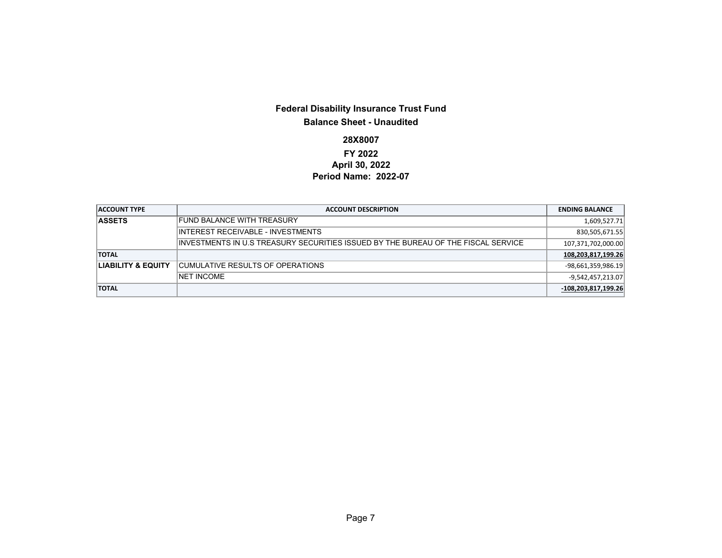### **Federal Disability Insurance Trust Fund Balance Sheet - Unaudited**

### **28X8007**

### **FY 2022 April 30, 2022 Period Name: 2022-07**

| <b>ACCOUNT TYPE</b>           | <b>ACCOUNT DESCRIPTION</b>                                                         | <b>ENDING BALANCE</b> |
|-------------------------------|------------------------------------------------------------------------------------|-----------------------|
| <b>ASSETS</b>                 | FUND BALANCE WITH TREASURY                                                         | 1,609,527.71          |
|                               | INTEREST RECEIVABLE - INVESTMENTS                                                  | 830,505,671.55        |
|                               | IINVESTMENTS IN U.S TREASURY SECURITIES ISSUED BY THE BUREAU OF THE FISCAL SERVICE | 107,371,702,000.00    |
| <b>TOTAL</b>                  |                                                                                    | 108,203,817,199.26    |
| <b>LIABILITY &amp; EQUITY</b> | CUMULATIVE RESULTS OF OPERATIONS                                                   | $-98,661,359,986.19$  |
|                               | <b>NET INCOME</b>                                                                  | $-9,542,457,213.07$   |
| <b>TOTAL</b>                  |                                                                                    | $-108,203,817,199.26$ |